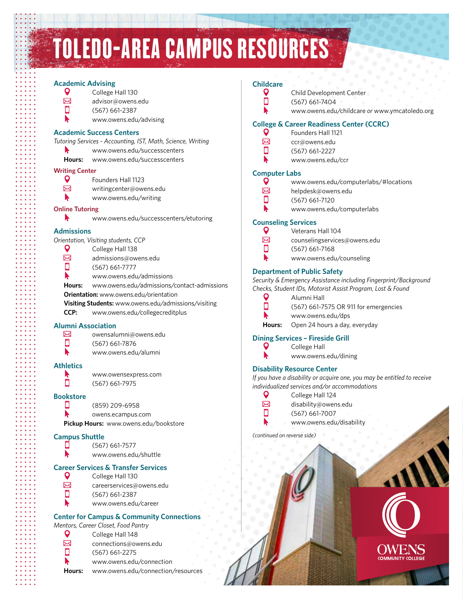# TOLEDO-AREA CAMPUS RESOURCES

## **Academic Advising**

О

| <b>Q</b> | College Hall 130 |
|----------|------------------|
| ⊠        | advisor@owens.   |

- advisor@owens.edu
- (567) 661-2387
- ь www.owens.edu/advising

## **Academic Success Centers**

- *Tutoring Services Accounting, IST, Math, Science, Writing*
	- ▶ www.owens.edu/successcenters
	- **Hours:** www.owens.edu/successcenters

#### **Writing Center**  $\overline{Q}$

- Founders Hall 1123
- $\boxtimes$ writingcenter@owens.edu
- ▶ www.owens.edu/writing

## **Online Tutoring**

- N
	- www.owens.edu/successcenters/etutoring

## **Admissions**

*Orientation, Visiting students, CCP*

- $\mathbf Q$ College Hall 138
- $\boxtimes$ admissions@owens.edu  $\Box$ 
	- (567) 661-7777
- r www.owens.edu/admissions
- **Hours:** www.owens.edu/admissions/contact-admissions
- **Orientation:** www.owens.edu/orientation
- **Visiting Students:** www.owens.edu/admissions/visiting
- **CCP:** www.owens.edu/collegecreditplus

## **Alumni Association**

- ⊠ owensalumni@owens.edu  $\Box$
- (567) 661-7876 ▶
	- www.owens.edu/alumni

## **Athletics**

www.owensexpress.com (567) 661-7975

## $\Box$ **Bookstore** □

▶

П

(859) 209-6958

owens.ecampus.com

**Pickup Hours:** www.owens.edu/bookstore

## **Campus Shuttle**

www.owens.edu/shuttle

## **Career Services & Transfer Services**

- $\mathsf o$ College Hall 130 ⊠ careerservices@owens.edu  $\Box$ (567) 661-2387
	- www.owens.edu/career

## **Center for Campus & Community Connections**

*Mentors, Career Closet, Food Pantry*

| O      | College Hall 148                   |
|--------|------------------------------------|
|        | connections@owens.edu              |
| □      | (567) 661-2275                     |
| N      | www.owens.edu/connection           |
| Hours: | www.owens.edu/connection/resources |

#### **Childcare** Q

Ò

- Child Development Center
- (567) 661-7404
- N
- www.owens.edu/childcare *or* www.ymcatoledo.org

#### **College & Career Readiness Center (CCRC)**  Q

- Founders Hall 1121
- $\boxtimes$ ccr@owens.edu □
	- (567) 661-2227
	- www.owens.edu/ccr

#### **Computer Labs** Q

N

- www.owens.edu/computerlabs/#locations
- ⊠ helpdesk@owens.edu Ű
	- (567) 661-7120
		- www.owens.edu/computerlabs

## **Counseling Services**

| J  | Veterans Hall 104            |
|----|------------------------------|
| 刁  | counselingservices@owens.edu |
| ij | $(567)$ 661-7168             |
|    |                              |

# www.owens.edu/counseling

## **Department of Public Safety**

*Security & Emergency Assistance including Fingerprint/Background Checks, Student IDs, Motorist Assist Program, Lost & Found*

| ٠<br>٠ |  |
|--------|--|
|        |  |

Alumni Hall (567) 661-7575 OR 911 for emergencies www.owens.edu/dps

**Hours:** Open 24 hours a day, everyday

## **Dining Services – Fireside Grill**

College Hall www.owens.edu/dining

## **Disability Resource Center**

*If you have a disability or acquire one, you may be entitled to receive individualized services and/or accommodations*

| s. |  |
|----|--|
|    |  |

disability@owens.edu

(567) 661-7007

www.owens.edu/disability

College Hall 124

## *(continued on reverse side)*